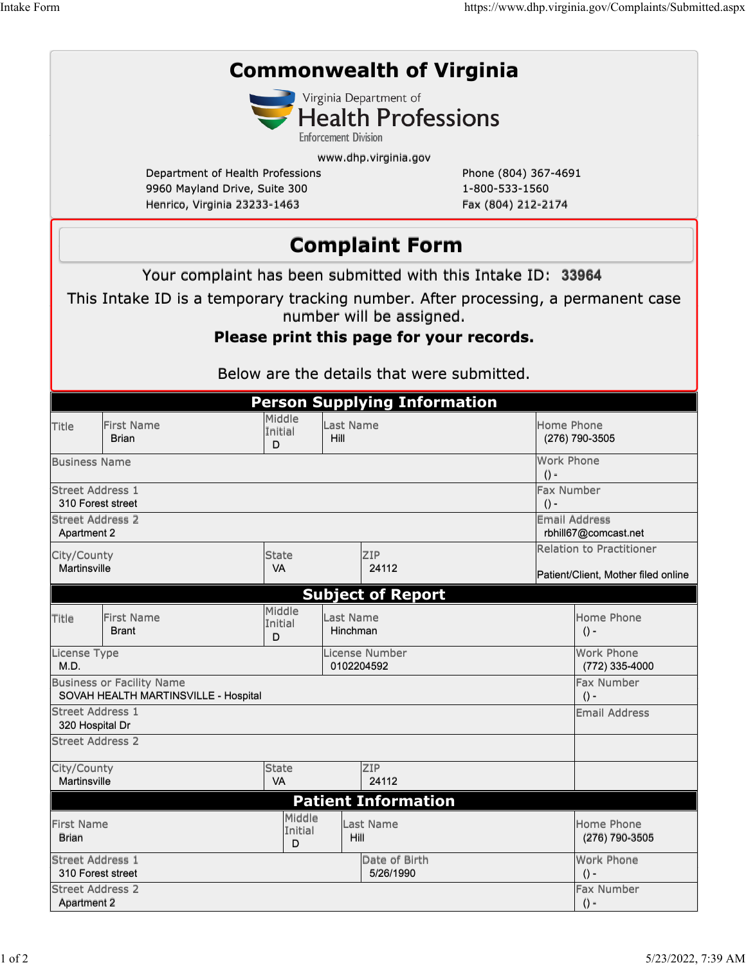| <b>Commonwealth of Virginia</b>                                                   |                                            |                                                              |                       |                                            |                                              |                                     |  |  |  |  |
|-----------------------------------------------------------------------------------|--------------------------------------------|--------------------------------------------------------------|-----------------------|--------------------------------------------|----------------------------------------------|-------------------------------------|--|--|--|--|
|                                                                                   |                                            |                                                              |                       | Virginia Department of                     |                                              |                                     |  |  |  |  |
| <b>Health Professions</b>                                                         |                                            |                                                              |                       |                                            |                                              |                                     |  |  |  |  |
| <b>Enforcement Division</b>                                                       |                                            |                                                              |                       |                                            |                                              |                                     |  |  |  |  |
| www.dhp.virginia.gov                                                              |                                            |                                                              |                       |                                            |                                              |                                     |  |  |  |  |
| Department of Health Professions<br>9960 Mayland Drive, Suite 300                 |                                            |                                                              |                       | Phone (804) 367-4691<br>1-800-533-1560     |                                              |                                     |  |  |  |  |
|                                                                                   |                                            | Henrico, Virginia 23233-1463                                 |                       | Fax (804) 212-2174                         |                                              |                                     |  |  |  |  |
|                                                                                   |                                            |                                                              |                       |                                            |                                              |                                     |  |  |  |  |
|                                                                                   | <b>Complaint Form</b>                      |                                                              |                       |                                            |                                              |                                     |  |  |  |  |
|                                                                                   |                                            | Your complaint has been submitted with this Intake ID: 33964 |                       |                                            |                                              |                                     |  |  |  |  |
| This Intake ID is a temporary tracking number. After processing, a permanent case |                                            |                                                              |                       |                                            |                                              |                                     |  |  |  |  |
|                                                                                   | number will be assigned.                   |                                                              |                       |                                            |                                              |                                     |  |  |  |  |
| Please print this page for your records.                                          |                                            |                                                              |                       |                                            |                                              |                                     |  |  |  |  |
|                                                                                   |                                            |                                                              |                       |                                            |                                              |                                     |  |  |  |  |
|                                                                                   |                                            |                                                              |                       | Below are the details that were submitted. |                                              |                                     |  |  |  |  |
|                                                                                   |                                            |                                                              |                       | <b>Person Supplying Information</b>        |                                              |                                     |  |  |  |  |
| Title                                                                             | <b>First Name</b>                          | Middle                                                       | Last Name             |                                            |                                              | Home Phone                          |  |  |  |  |
|                                                                                   | <b>Brian</b>                               | Initial<br>D                                                 | Hill                  |                                            |                                              | (276) 790-3505                      |  |  |  |  |
|                                                                                   | Work Phone<br><b>Business Name</b>         |                                                              |                       |                                            |                                              |                                     |  |  |  |  |
|                                                                                   | $() -$<br>Fax Number                       |                                                              |                       |                                            |                                              |                                     |  |  |  |  |
| Street Address 1<br>310 Forest street<br>$() -$                                   |                                            |                                                              |                       |                                            |                                              |                                     |  |  |  |  |
| Street Address 2                                                                  |                                            |                                                              |                       |                                            | <b>Email Address</b><br>rbhill67@comcast.net |                                     |  |  |  |  |
| Apartment 2                                                                       |                                            |                                                              |                       |                                            |                                              | Relation to Practitioner            |  |  |  |  |
| City/County<br>Martinsville                                                       |                                            | <b>State</b><br><b>VA</b>                                    | ZIP<br>24112          |                                            |                                              |                                     |  |  |  |  |
|                                                                                   |                                            |                                                              |                       |                                            |                                              | Patient/Client, Mother filed online |  |  |  |  |
| <b>Subject of Report</b><br>Middle                                                |                                            |                                                              |                       |                                            |                                              |                                     |  |  |  |  |
| Title                                                                             | <b>First Name</b><br>Initial<br>Brant<br>D |                                                              | Last Name<br>Hinchman |                                            |                                              | Home Phone<br>$() -$                |  |  |  |  |
| License Type<br>M.D.                                                              |                                            |                                                              |                       | License Number<br>0102204592               |                                              | <b>Work Phone</b><br>(772) 335-4000 |  |  |  |  |
| <b>Business or Facility Name</b>                                                  | Fax Number                                 |                                                              |                       |                                            |                                              |                                     |  |  |  |  |
| SOVAH HEALTH MARTINSVILLE - Hospital                                              | $() -$                                     |                                                              |                       |                                            |                                              |                                     |  |  |  |  |
| <b>Street Address 1</b><br>320 Hospital Dr                                        | <b>Email Address</b>                       |                                                              |                       |                                            |                                              |                                     |  |  |  |  |
|                                                                                   | <b>Street Address 2</b>                    |                                                              |                       |                                            |                                              |                                     |  |  |  |  |
| ZIP<br><b>State</b><br>City/County                                                |                                            |                                                              |                       |                                            |                                              |                                     |  |  |  |  |
| 24112<br>Martinsville<br><b>VA</b>                                                |                                            |                                                              |                       |                                            |                                              |                                     |  |  |  |  |
|                                                                                   |                                            | Middle                                                       |                       | <b>Patient Information</b>                 |                                              |                                     |  |  |  |  |
| First Name<br><b>Brian</b>                                                        |                                            | Initial<br>D                                                 |                       | Last Name<br>Hill                          |                                              | Home Phone<br>(276) 790-3505        |  |  |  |  |
| <b>Street Address 1</b><br>Date of Birth<br>310 Forest street<br>5/26/1990        |                                            |                                                              |                       |                                            |                                              | Work Phone<br>$() -$                |  |  |  |  |
| <b>Street Address 2</b><br><b>Apartment 2</b>                                     |                                            |                                                              |                       |                                            |                                              | Fax Number<br>$() -$                |  |  |  |  |